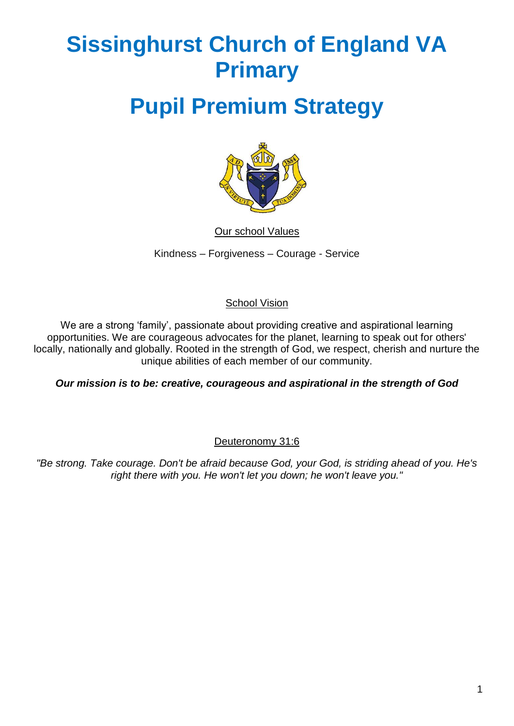# **Sissinghurst Church of England VA Primary**

# **Pupil Premium Strategy**



Our school Values

Kindness – Forgiveness – Courage - Service

#### School Vision

We are a strong 'family', passionate about providing creative and aspirational learning opportunities. We are courageous advocates for the planet, learning to speak out for others' locally, nationally and globally. Rooted in the strength of God, we respect, cherish and nurture the unique abilities of each member of our community.

*Our mission is to be: creative, courageous and aspirational in the strength of God*

#### Deuteronomy 31:6

*"Be strong. Take courage. Don't be afraid because God, your God, is striding ahead of you. He's right there with you. He won't let you down; he won't leave you."*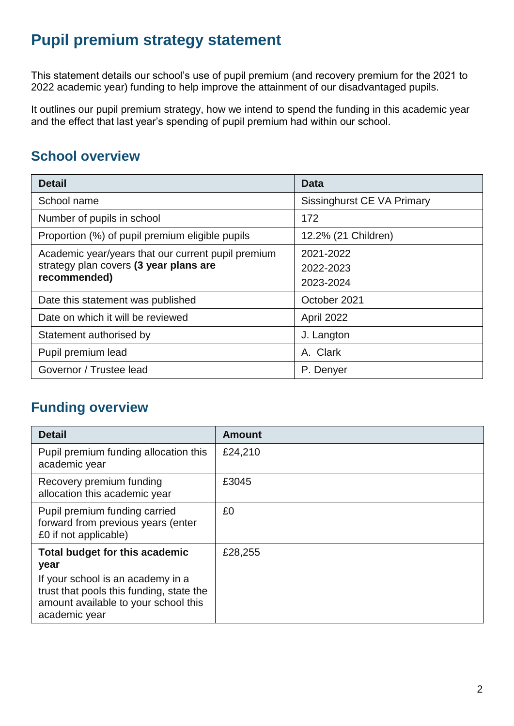# **Pupil premium strategy statement**

This statement details our school's use of pupil premium (and recovery premium for the 2021 to 2022 academic year) funding to help improve the attainment of our disadvantaged pupils.

It outlines our pupil premium strategy, how we intend to spend the funding in this academic year and the effect that last year's spending of pupil premium had within our school.

#### **School overview**

| <b>Detail</b>                                                                                                | <b>Data</b>                         |  |
|--------------------------------------------------------------------------------------------------------------|-------------------------------------|--|
| School name                                                                                                  | Sissinghurst CE VA Primary          |  |
| Number of pupils in school                                                                                   | 172                                 |  |
| Proportion (%) of pupil premium eligible pupils                                                              | 12.2% (21 Children)                 |  |
| Academic year/years that our current pupil premium<br>strategy plan covers (3 year plans are<br>recommended) | 2021-2022<br>2022-2023<br>2023-2024 |  |
| Date this statement was published                                                                            | October 2021                        |  |
| Date on which it will be reviewed                                                                            | April 2022                          |  |
| Statement authorised by                                                                                      | J. Langton                          |  |
| Pupil premium lead                                                                                           | A. Clark                            |  |
| Governor / Trustee lead                                                                                      | P. Denyer                           |  |

## **Funding overview**

| <b>Detail</b>                                                                                                                                                                    | <b>Amount</b> |
|----------------------------------------------------------------------------------------------------------------------------------------------------------------------------------|---------------|
| Pupil premium funding allocation this<br>academic year                                                                                                                           | £24,210       |
| Recovery premium funding<br>allocation this academic year                                                                                                                        | £3045         |
| Pupil premium funding carried<br>forward from previous years (enter<br>£0 if not applicable)                                                                                     | £0            |
| Total budget for this academic<br>year<br>If your school is an academy in a<br>trust that pools this funding, state the<br>amount available to your school this<br>academic year | £28,255       |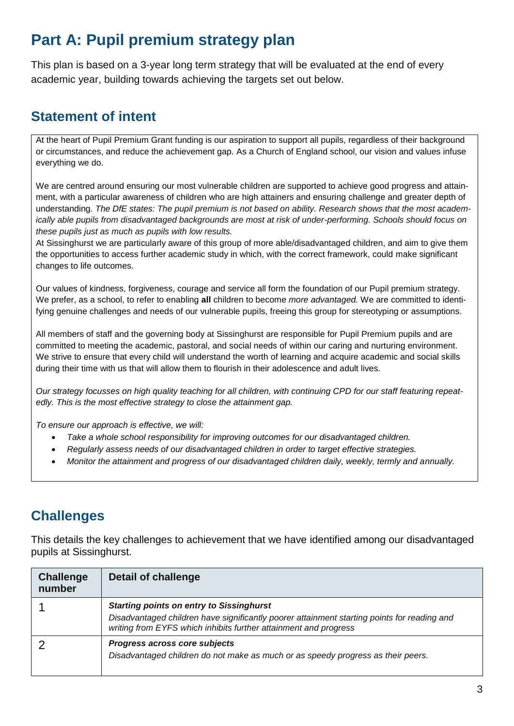# **Part A: Pupil premium strategy plan**

This plan is based on a 3-year long term strategy that will be evaluated at the end of every academic year, building towards achieving the targets set out below.

## **Statement of intent**

At the heart of Pupil Premium Grant funding is our aspiration to support all pupils, regardless of their background or circumstances, and reduce the achievement gap. As a Church of England school, our vision and values infuse everything we do.

We are centred around ensuring our most vulnerable children are supported to achieve good progress and attainment, with a particular awareness of children who are high attainers and ensuring challenge and greater depth of understanding. *The DfE states: The pupil premium is not based on ability. Research shows that the most academically able pupils from disadvantaged backgrounds are most at risk of under-performing. Schools should focus on these pupils just as much as pupils with low results.*

At Sissinghurst we are particularly aware of this group of more able/disadvantaged children, and aim to give them the opportunities to access further academic study in which, with the correct framework, could make significant changes to life outcomes.

Our values of kindness, forgiveness, courage and service all form the foundation of our Pupil premium strategy. We prefer, as a school, to refer to enabling **all** children to become *more advantaged.* We are committed to identifying genuine challenges and needs of our vulnerable pupils, freeing this group for stereotyping or assumptions.

All members of staff and the governing body at Sissinghurst are responsible for Pupil Premium pupils and are committed to meeting the academic, pastoral, and social needs of within our caring and nurturing environment. We strive to ensure that every child will understand the worth of learning and acquire academic and social skills during their time with us that will allow them to flourish in their adolescence and adult lives.

*Our strategy focusses on high quality teaching for all children, with continuing CPD for our staff featuring repeatedly. This is the most effective strategy to close the attainment gap.*

*To ensure our approach is effective, we will:*

- *Take a whole school responsibility for improving outcomes for our disadvantaged children.*
- *Regularly assess needs of our disadvantaged children in order to target effective strategies.*
- *Monitor the attainment and progress of our disadvantaged children daily, weekly, termly and annually.*

#### **Challenges**

This details the key challenges to achievement that we have identified among our disadvantaged pupils at Sissinghurst.

| <b>Challenge</b><br>number | <b>Detail of challenge</b>                                                                                                                                                                                         |
|----------------------------|--------------------------------------------------------------------------------------------------------------------------------------------------------------------------------------------------------------------|
|                            | <b>Starting points on entry to Sissinghurst</b><br>Disadvantaged children have significantly poorer attainment starting points for reading and<br>writing from EYFS which inhibits further attainment and progress |
|                            | Progress across core subjects<br>Disadvantaged children do not make as much or as speedy progress as their peers.                                                                                                  |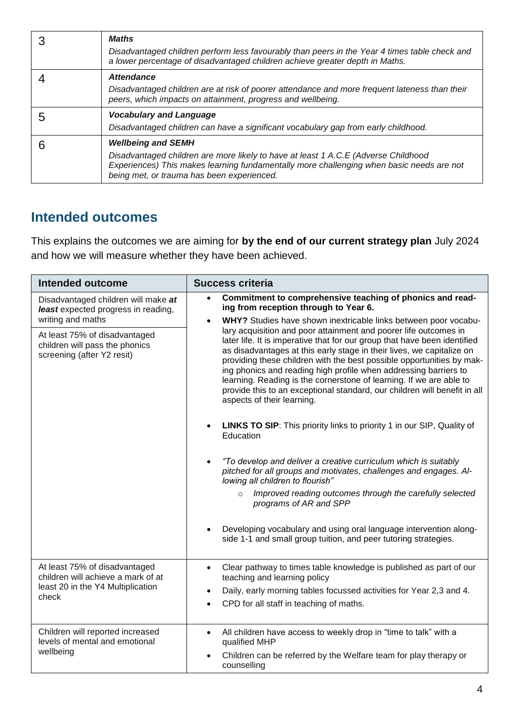| <b>Maths</b><br>Disadvantaged children perform less favourably than peers in the Year 4 times table check and<br>a lower percentage of disadvantaged children achieve greater depth in Maths.                                                             |
|-----------------------------------------------------------------------------------------------------------------------------------------------------------------------------------------------------------------------------------------------------------|
| <b>Attendance</b><br>Disadvantaged children are at risk of poorer attendance and more frequent lateness than their<br>peers, which impacts on attainment, progress and wellbeing.                                                                         |
| <b>Vocabulary and Language</b><br>Disadvantaged children can have a significant vocabulary gap from early childhood.                                                                                                                                      |
| <b>Wellbeing and SEMH</b><br>Disadvantaged children are more likely to have at least 1 A.C.E (Adverse Childhood<br>Experiences) This makes learning fundamentally more challenging when basic needs are not<br>being met, or trauma has been experienced. |

#### **Intended outcomes**

This explains the outcomes we are aiming for **by the end of our current strategy plan** July 2024 and how we will measure whether they have been achieved.

| <b>Intended outcome</b>                                                                         | <b>Success criteria</b>                                                                                                                                                                                                                                                                                                                                                                                                                                                                                                                               |
|-------------------------------------------------------------------------------------------------|-------------------------------------------------------------------------------------------------------------------------------------------------------------------------------------------------------------------------------------------------------------------------------------------------------------------------------------------------------------------------------------------------------------------------------------------------------------------------------------------------------------------------------------------------------|
| Disadvantaged children will make at<br>least expected progress in reading,<br>writing and maths | Commitment to comprehensive teaching of phonics and read-<br>$\bullet$<br>ing from reception through to Year 6.<br>WHY? Studies have shown inextricable links between poor vocabu-<br>$\bullet$                                                                                                                                                                                                                                                                                                                                                       |
| At least 75% of disadvantaged<br>children will pass the phonics<br>screening (after Y2 resit)   | lary acquisition and poor attainment and poorer life outcomes in<br>later life. It is imperative that for our group that have been identified<br>as disadvantages at this early stage in their lives, we capitalize on<br>providing these children with the best possible opportunities by mak-<br>ing phonics and reading high profile when addressing barriers to<br>learning. Reading is the cornerstone of learning. If we are able to<br>provide this to an exceptional standard, our children will benefit in all<br>aspects of their learning. |
|                                                                                                 | <b>LINKS TO SIP:</b> This priority links to priority 1 in our SIP, Quality of<br>Education                                                                                                                                                                                                                                                                                                                                                                                                                                                            |
|                                                                                                 | "To develop and deliver a creative curriculum which is suitably<br>pitched for all groups and motivates, challenges and engages. Al-<br>lowing all children to flourish"                                                                                                                                                                                                                                                                                                                                                                              |
|                                                                                                 | Improved reading outcomes through the carefully selected<br>$\circ$<br>programs of AR and SPP                                                                                                                                                                                                                                                                                                                                                                                                                                                         |
|                                                                                                 | Developing vocabulary and using oral language intervention along-<br>side 1-1 and small group tuition, and peer tutoring strategies.                                                                                                                                                                                                                                                                                                                                                                                                                  |
| At least 75% of disadvantaged<br>children will achieve a mark of at                             | Clear pathway to times table knowledge is published as part of our<br>teaching and learning policy                                                                                                                                                                                                                                                                                                                                                                                                                                                    |
| least 20 in the Y4 Multiplication<br>check                                                      | Daily, early morning tables focussed activities for Year 2,3 and 4.<br>$\bullet$                                                                                                                                                                                                                                                                                                                                                                                                                                                                      |
|                                                                                                 | CPD for all staff in teaching of maths.<br>$\bullet$                                                                                                                                                                                                                                                                                                                                                                                                                                                                                                  |
| Children will reported increased<br>levels of mental and emotional                              | All children have access to weekly drop in "time to talk" with a<br>$\bullet$<br>qualified MHP                                                                                                                                                                                                                                                                                                                                                                                                                                                        |
| wellbeing                                                                                       | Children can be referred by the Welfare team for play therapy or<br>$\bullet$<br>counselling                                                                                                                                                                                                                                                                                                                                                                                                                                                          |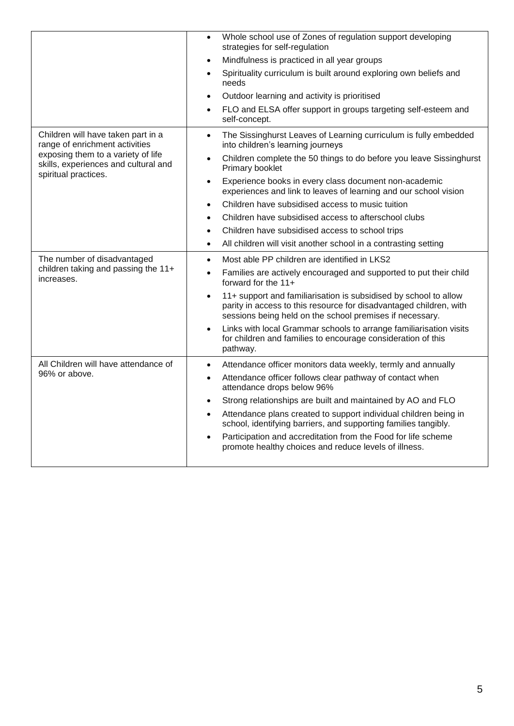|                                                                                                    | Whole school use of Zones of regulation support developing<br>strategies for self-regulation                                                                                                                    |
|----------------------------------------------------------------------------------------------------|-----------------------------------------------------------------------------------------------------------------------------------------------------------------------------------------------------------------|
|                                                                                                    | Mindfulness is practiced in all year groups<br>$\bullet$                                                                                                                                                        |
|                                                                                                    | Spirituality curriculum is built around exploring own beliefs and<br>$\bullet$<br>needs                                                                                                                         |
|                                                                                                    | Outdoor learning and activity is prioritised<br>$\bullet$                                                                                                                                                       |
|                                                                                                    | FLO and ELSA offer support in groups targeting self-esteem and<br>$\bullet$<br>self-concept.                                                                                                                    |
| Children will have taken part in a<br>range of enrichment activities                               | The Sissinghurst Leaves of Learning curriculum is fully embedded<br>$\bullet$<br>into children's learning journeys                                                                                              |
| exposing them to a variety of life<br>skills, experiences and cultural and<br>spiritual practices. | Children complete the 50 things to do before you leave Sissinghurst<br>$\bullet$<br>Primary booklet                                                                                                             |
|                                                                                                    | Experience books in every class document non-academic<br>$\bullet$<br>experiences and link to leaves of learning and our school vision                                                                          |
|                                                                                                    | Children have subsidised access to music tuition<br>$\bullet$                                                                                                                                                   |
|                                                                                                    | Children have subsidised access to afterschool clubs<br>$\bullet$                                                                                                                                               |
|                                                                                                    | Children have subsidised access to school trips<br>$\bullet$                                                                                                                                                    |
|                                                                                                    | All children will visit another school in a contrasting setting<br>$\bullet$                                                                                                                                    |
| The number of disadvantaged                                                                        | Most able PP children are identified in LKS2<br>$\bullet$                                                                                                                                                       |
| children taking and passing the 11+<br>increases.                                                  | Families are actively encouraged and supported to put their child<br>$\bullet$<br>forward for the 11+                                                                                                           |
|                                                                                                    | 11+ support and familiarisation is subsidised by school to allow<br>$\bullet$<br>parity in access to this resource for disadvantaged children, with<br>sessions being held on the school premises if necessary. |
|                                                                                                    | Links with local Grammar schools to arrange familiarisation visits<br>$\bullet$<br>for children and families to encourage consideration of this<br>pathway.                                                     |
| All Children will have attendance of                                                               | Attendance officer monitors data weekly, termly and annually<br>$\bullet$                                                                                                                                       |
| 96% or above.                                                                                      | Attendance officer follows clear pathway of contact when<br>$\bullet$<br>attendance drops below 96%                                                                                                             |
|                                                                                                    | Strong relationships are built and maintained by AO and FLO<br>$\bullet$                                                                                                                                        |
|                                                                                                    | Attendance plans created to support individual children being in<br>$\bullet$<br>school, identifying barriers, and supporting families tangibly.                                                                |
|                                                                                                    | Participation and accreditation from the Food for life scheme<br>$\bullet$<br>promote healthy choices and reduce levels of illness.                                                                             |
|                                                                                                    |                                                                                                                                                                                                                 |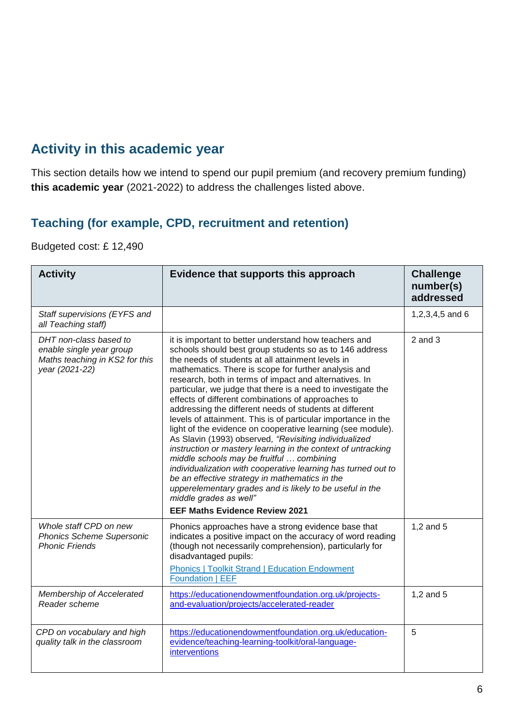### **Activity in this academic year**

This section details how we intend to spend our pupil premium (and recovery premium funding) **this academic year** (2021-2022) to address the challenges listed above.

#### **Teaching (for example, CPD, recruitment and retention)**

#### Budgeted cost: £ 12,490

| <b>Activity</b>                                                                                        | Evidence that supports this approach                                                                                                                                                                                                                                                                                                                                                                                                                                                                                                                                                                                                                                                                                                                                                                                                                                                                                                                                                                                             | <b>Challenge</b><br>number(s)<br>addressed |
|--------------------------------------------------------------------------------------------------------|----------------------------------------------------------------------------------------------------------------------------------------------------------------------------------------------------------------------------------------------------------------------------------------------------------------------------------------------------------------------------------------------------------------------------------------------------------------------------------------------------------------------------------------------------------------------------------------------------------------------------------------------------------------------------------------------------------------------------------------------------------------------------------------------------------------------------------------------------------------------------------------------------------------------------------------------------------------------------------------------------------------------------------|--------------------------------------------|
| Staff supervisions (EYFS and<br>all Teaching staff)                                                    |                                                                                                                                                                                                                                                                                                                                                                                                                                                                                                                                                                                                                                                                                                                                                                                                                                                                                                                                                                                                                                  | 1,2,3,4,5 and 6                            |
| DHT non-class based to<br>enable single year group<br>Maths teaching in KS2 for this<br>year (2021-22) | it is important to better understand how teachers and<br>schools should best group students so as to 146 address<br>the needs of students at all attainment levels in<br>mathematics. There is scope for further analysis and<br>research, both in terms of impact and alternatives. In<br>particular, we judge that there is a need to investigate the<br>effects of different combinations of approaches to<br>addressing the different needs of students at different<br>levels of attainment. This is of particular importance in the<br>light of the evidence on cooperative learning (see module).<br>As Slavin (1993) observed, "Revisiting individualized<br>instruction or mastery learning in the context of untracking<br>middle schools may be fruitful  combining<br>individualization with cooperative learning has turned out to<br>be an effective strategy in mathematics in the<br>upperelementary grades and is likely to be useful in the<br>middle grades as well"<br><b>EEF Maths Evidence Review 2021</b> | $2$ and $3$                                |
| Whole staff CPD on new<br><b>Phonics Scheme Supersonic</b><br><b>Phonic Friends</b>                    | Phonics approaches have a strong evidence base that<br>indicates a positive impact on the accuracy of word reading<br>(though not necessarily comprehension), particularly for<br>disadvantaged pupils:<br><b>Phonics   Toolkit Strand   Education Endowment</b><br><b>Foundation   EEF</b>                                                                                                                                                                                                                                                                                                                                                                                                                                                                                                                                                                                                                                                                                                                                      | $1,2$ and $5$                              |
| Membership of Accelerated<br>Reader scheme                                                             | https://educationendowmentfoundation.org.uk/projects-<br>and-evaluation/projects/accelerated-reader                                                                                                                                                                                                                                                                                                                                                                                                                                                                                                                                                                                                                                                                                                                                                                                                                                                                                                                              | $1,2$ and $5$                              |
| CPD on vocabulary and high<br>quality talk in the classroom                                            | https://educationendowmentfoundation.org.uk/education-<br>evidence/teaching-learning-toolkit/oral-language-<br>interventions                                                                                                                                                                                                                                                                                                                                                                                                                                                                                                                                                                                                                                                                                                                                                                                                                                                                                                     | 5                                          |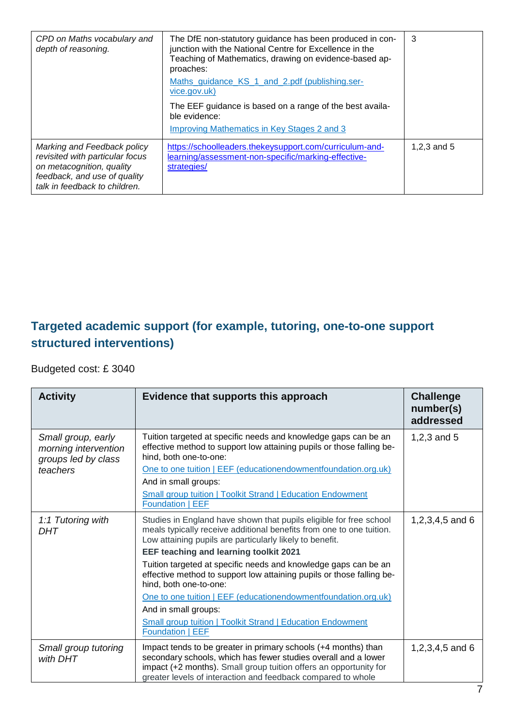| CPD on Maths vocabulary and<br>depth of reasoning.                                                                                                           | The DfE non-statutory guidance has been produced in con-<br>junction with the National Centre for Excellence in the<br>Teaching of Mathematics, drawing on evidence-based ap-<br>proaches:<br>Maths guidance KS 1 and 2.pdf (publishing.ser-<br>vice.gov.uk)<br>The EEF guidance is based on a range of the best availa-<br>ble evidence:<br><b>Improving Mathematics in Key Stages 2 and 3</b> | 3             |
|--------------------------------------------------------------------------------------------------------------------------------------------------------------|-------------------------------------------------------------------------------------------------------------------------------------------------------------------------------------------------------------------------------------------------------------------------------------------------------------------------------------------------------------------------------------------------|---------------|
| Marking and Feedback policy<br>revisited with particular focus<br>on metacognition, quality<br>feedback, and use of quality<br>talk in feedback to children. | https://schoolleaders.thekeysupport.com/curriculum-and-<br>learning/assessment-non-specific/marking-effective-<br>strategies/                                                                                                                                                                                                                                                                   | 1,2,3 and $5$ |

#### **Targeted academic support (for example, tutoring, one-to-one support structured interventions)**

Budgeted cost: £ 3040

| <b>Activity</b>                                                   | Evidence that supports this approach                                                                                                                                                                                                                                  | <b>Challenge</b><br>number(s)<br>addressed |
|-------------------------------------------------------------------|-----------------------------------------------------------------------------------------------------------------------------------------------------------------------------------------------------------------------------------------------------------------------|--------------------------------------------|
| Small group, early<br>morning intervention<br>groups led by class | Tuition targeted at specific needs and knowledge gaps can be an<br>effective method to support low attaining pupils or those falling be-<br>hind, both one-to-one:                                                                                                    | $1,2,3$ and $5$                            |
| teachers                                                          | One to one tuition   EEF (educationendowmentfoundation.org.uk)                                                                                                                                                                                                        |                                            |
|                                                                   | And in small groups:                                                                                                                                                                                                                                                  |                                            |
|                                                                   | <b>Small group tuition   Toolkit Strand   Education Endowment</b><br>Foundation   EEF                                                                                                                                                                                 |                                            |
| 1:1 Tutoring with<br><b>DHT</b>                                   | Studies in England have shown that pupils eligible for free school<br>meals typically receive additional benefits from one to one tuition.<br>Low attaining pupils are particularly likely to benefit.                                                                | 1,2,3,4,5 and 6                            |
|                                                                   | <b>EEF teaching and learning toolkit 2021</b>                                                                                                                                                                                                                         |                                            |
|                                                                   | Tuition targeted at specific needs and knowledge gaps can be an<br>effective method to support low attaining pupils or those falling be-<br>hind, both one-to-one:                                                                                                    |                                            |
|                                                                   | One to one tuition   EEF (educationendowmentfoundation.org.uk)<br>And in small groups:                                                                                                                                                                                |                                            |
|                                                                   | <b>Small group tuition   Toolkit Strand   Education Endowment</b><br>Foundation   EEF                                                                                                                                                                                 |                                            |
| Small group tutoring<br>with DHT                                  | Impact tends to be greater in primary schools (+4 months) than<br>secondary schools, which has fewer studies overall and a lower<br>impact (+2 months). Small group tuition offers an opportunity for<br>greater levels of interaction and feedback compared to whole | 1,2,3,4,5 and 6                            |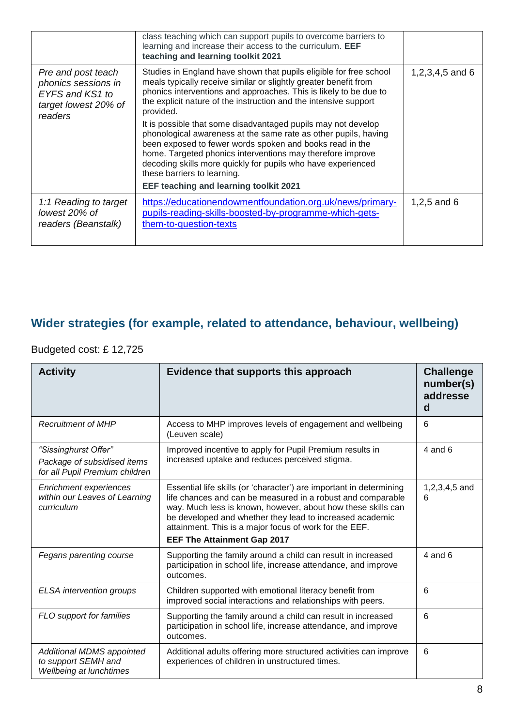|                                                                                                 | class teaching which can support pupils to overcome barriers to<br>learning and increase their access to the curriculum. EEF<br>teaching and learning toolkit 2021                                                                                                                                                                                                                                                                                                                                                                                                                                                                                                                                         |                 |
|-------------------------------------------------------------------------------------------------|------------------------------------------------------------------------------------------------------------------------------------------------------------------------------------------------------------------------------------------------------------------------------------------------------------------------------------------------------------------------------------------------------------------------------------------------------------------------------------------------------------------------------------------------------------------------------------------------------------------------------------------------------------------------------------------------------------|-----------------|
| Pre and post teach<br>phonics sessions in<br>EYFS and KS1 to<br>target lowest 20% of<br>readers | Studies in England have shown that pupils eligible for free school<br>meals typically receive similar or slightly greater benefit from<br>phonics interventions and approaches. This is likely to be due to<br>the explicit nature of the instruction and the intensive support<br>provided.<br>It is possible that some disadvantaged pupils may not develop<br>phonological awareness at the same rate as other pupils, having<br>been exposed to fewer words spoken and books read in the<br>home. Targeted phonics interventions may therefore improve<br>decoding skills more quickly for pupils who have experienced<br>these barriers to learning.<br><b>EEF teaching and learning toolkit 2021</b> | 1,2,3,4,5 and 6 |
| 1:1 Reading to target<br>lowest 20% of<br>readers (Beanstalk)                                   | https://educationendowmentfoundation.org.uk/news/primary-<br>pupils-reading-skills-boosted-by-programme-which-gets-<br>them-to-question-texts                                                                                                                                                                                                                                                                                                                                                                                                                                                                                                                                                              | 1,2,5 and $6$   |

## **Wider strategies (for example, related to attendance, behaviour, wellbeing)**

#### Budgeted cost: £ 12,725

| <b>Activity</b>                                                                       | Evidence that supports this approach                                                                                                                                                                                                                                                                                                                           | <b>Challenge</b><br>number(s)<br>addresse<br>d |
|---------------------------------------------------------------------------------------|----------------------------------------------------------------------------------------------------------------------------------------------------------------------------------------------------------------------------------------------------------------------------------------------------------------------------------------------------------------|------------------------------------------------|
| <b>Recruitment of MHP</b>                                                             | Access to MHP improves levels of engagement and wellbeing<br>(Leuven scale)                                                                                                                                                                                                                                                                                    | 6                                              |
| "Sissinghurst Offer"<br>Package of subsidised items<br>for all Pupil Premium children | Improved incentive to apply for Pupil Premium results in<br>increased uptake and reduces perceived stigma.                                                                                                                                                                                                                                                     | $4$ and $6$                                    |
| <b>Enrichment experiences</b><br>within our Leaves of Learning<br>curriculum          | Essential life skills (or 'character') are important in determining<br>life chances and can be measured in a robust and comparable<br>way. Much less is known, however, about how these skills can<br>be developed and whether they lead to increased academic<br>attainment. This is a major focus of work for the EEF.<br><b>EEF The Attainment Gap 2017</b> | 1,2,3,4,5 and<br>6                             |
| Fegans parenting course                                                               | Supporting the family around a child can result in increased<br>participation in school life, increase attendance, and improve<br>outcomes.                                                                                                                                                                                                                    | $4$ and $6$                                    |
| <b>ELSA</b> intervention groups                                                       | Children supported with emotional literacy benefit from<br>improved social interactions and relationships with peers.                                                                                                                                                                                                                                          | 6                                              |
| FLO support for families                                                              | Supporting the family around a child can result in increased<br>participation in school life, increase attendance, and improve<br>outcomes.                                                                                                                                                                                                                    | 6                                              |
| Additional MDMS appointed<br>to support SEMH and<br><b>Wellbeing at lunchtimes</b>    | Additional adults offering more structured activities can improve<br>experiences of children in unstructured times.                                                                                                                                                                                                                                            | 6                                              |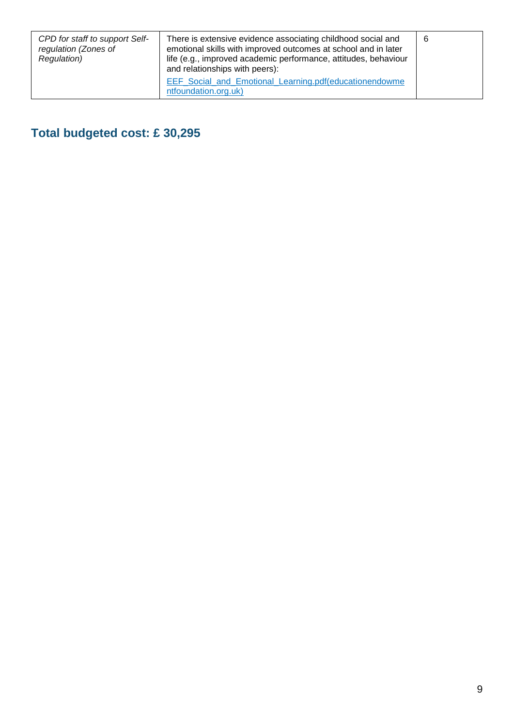| CPD for staff to support Self-<br>regulation (Zones of<br>Regulation) | There is extensive evidence associating childhood social and<br>emotional skills with improved outcomes at school and in later<br>life (e.g., improved academic performance, attitudes, behaviour<br>and relationships with peers): | 6 |
|-----------------------------------------------------------------------|-------------------------------------------------------------------------------------------------------------------------------------------------------------------------------------------------------------------------------------|---|
|                                                                       | EEF Social and Emotional Learning.pdf(educationendowme<br>ntfoundation.org.uk)                                                                                                                                                      |   |

**Total budgeted cost: £ 30,295**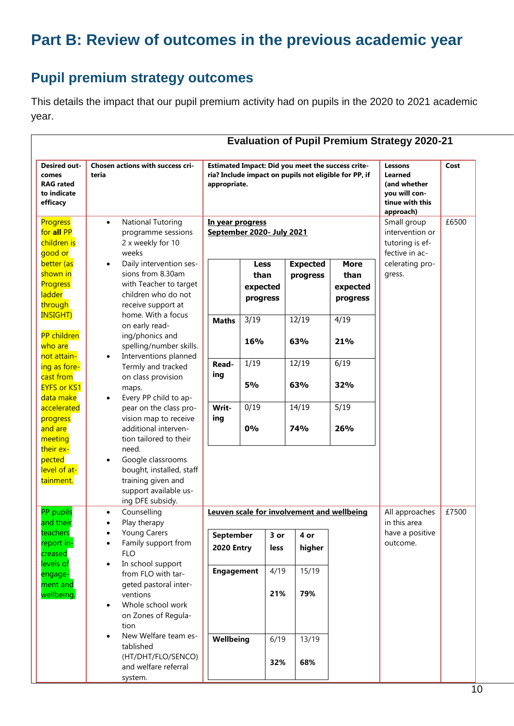# **Part B: Review of outcomes in the previous academic year**

#### **Pupil premium strategy outcomes**

This details the impact that our pupil premium activity had on pupils in the 2020 to 2021 academic year.

| <b>Desired out-</b><br>comes<br><b>RAG</b> rated<br>to indicate<br>efficacy | Chosen actions with success cri-<br>teria                                                                                              | Estimated Impact: Did you meet the success crite-<br>ria? Include impact on pupils not eligible for PP, if<br>appropriate. |                                             | Lessons<br>Learned<br>(and whether<br>you will con-<br>tinue with this<br>approach) | Cost                                                                |                                             |                                |       |
|-----------------------------------------------------------------------------|----------------------------------------------------------------------------------------------------------------------------------------|----------------------------------------------------------------------------------------------------------------------------|---------------------------------------------|-------------------------------------------------------------------------------------|---------------------------------------------------------------------|---------------------------------------------|--------------------------------|-------|
| Progress<br>for all PP<br>children is<br>good or                            | <b>National Tutoring</b><br>$\bullet$<br>programme sessions<br>2 x weekly for 10<br>weeks                                              | In year progress<br>September 2020- July 2021                                                                              |                                             |                                                                                     | Small group<br>intervention or<br>tutoring is ef-<br>fective in ac- | £6500                                       |                                |       |
| better (as<br>shown in<br><b>Progress</b><br><b>ladder</b><br>through       | Daily intervention ses-<br>$\bullet$<br>sions from 8.30am<br>with Teacher to target<br>children who do not<br>receive support at       |                                                                                                                            | <b>Less</b><br>than<br>expected<br>progress |                                                                                     | <b>Expected</b><br>progress                                         | <b>More</b><br>than<br>expected<br>progress | celerating pro-<br>gress.      |       |
| <b>INSIGHT)</b><br><b>PP</b> children<br>who are<br>not attain-             | home. With a focus<br>on early read-<br>ing/phonics and<br>spelling/number skills.<br>Interventions planned<br>$\bullet$               | <b>Maths</b>                                                                                                               | 3/19<br>16%                                 |                                                                                     | 12/19<br>63%                                                        | 4/19<br>21%                                 |                                |       |
| ing as fore-<br>cast from<br><b>EYFS or KS1</b><br>data make                | Termly and tracked<br>on class provision<br>maps.<br>Every PP child to ap-                                                             | Read-<br>ing                                                                                                               | 1/19<br><b>5%</b>                           |                                                                                     | 12/19<br>63%                                                        | 6/19<br>32%                                 |                                |       |
| accelerated<br>progress<br>and are<br>meeting                               | pear on the class pro-<br>vision map to receive<br>additional interven-<br>tion tailored to their                                      | Writ-<br>ing                                                                                                               | 0/19<br>0%                                  |                                                                                     | 14/19<br>74%                                                        | 5/19<br>26%                                 |                                |       |
| their ex-<br>pected<br>level of at-<br>tainment.                            | need.<br>Google classrooms<br>$\bullet$<br>bought, installed, staff<br>training given and<br>support available us-<br>ing DFE subsidy. |                                                                                                                            |                                             |                                                                                     |                                                                     |                                             |                                |       |
| PP pupils<br>and their                                                      | Counselling<br>$\bullet$<br>Play therapy                                                                                               | Leuven scale for involvement and wellbeing                                                                                 |                                             |                                                                                     |                                                                     |                                             | All approaches<br>in this area | £7500 |
| teachers<br>report in-<br>creased<br>levels of                              | <b>Young Carers</b><br>Family support from<br><b>FLO</b><br>In school support<br>$\bullet$                                             | September<br><b>2020 Entry</b>                                                                                             |                                             | 3 or<br>less                                                                        | 4 or<br>higher                                                      |                                             | have a positive<br>outcome.    |       |
| engage-<br>ment and<br>wellbeing.                                           | from FLO with tar-<br>geted pastoral inter-<br>ventions<br>Whole school work<br>$\bullet$<br>on Zones of Regula-<br>tion               | <b>Engagement</b>                                                                                                          |                                             | 4/19<br>21%                                                                         | 15/19<br>79%                                                        |                                             |                                |       |
|                                                                             | New Welfare team es-<br>$\bullet$<br>tablished<br>(HT/DHT/FLO/SENCO)<br>and welfare referral<br>system.                                | Wellbeing                                                                                                                  |                                             | 6/19<br>32%                                                                         | 13/19<br>68%                                                        |                                             |                                |       |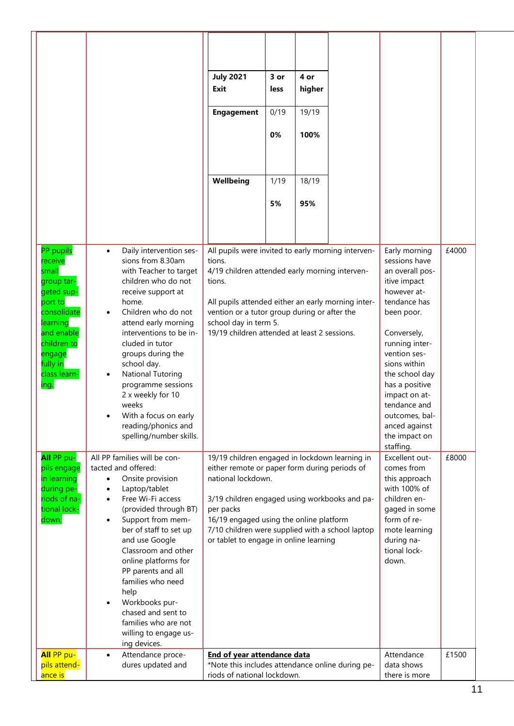|                                                                                                                                                    |                                                                                                                                                                                                                                                                                                                                                                                                                                                                        | <b>July 2021</b><br>Exit<br><b>Engagement</b>                                                                                                                                                                                                                                                                                | 3 or<br>less<br>0/19<br>0% | 4 or<br>higher<br>19/19<br>100%                                                                                                                                                                                                                                        |       |                                |       |
|----------------------------------------------------------------------------------------------------------------------------------------------------|------------------------------------------------------------------------------------------------------------------------------------------------------------------------------------------------------------------------------------------------------------------------------------------------------------------------------------------------------------------------------------------------------------------------------------------------------------------------|------------------------------------------------------------------------------------------------------------------------------------------------------------------------------------------------------------------------------------------------------------------------------------------------------------------------------|----------------------------|------------------------------------------------------------------------------------------------------------------------------------------------------------------------------------------------------------------------------------------------------------------------|-------|--------------------------------|-------|
|                                                                                                                                                    |                                                                                                                                                                                                                                                                                                                                                                                                                                                                        | Wellbeing                                                                                                                                                                                                                                                                                                                    | 1/19<br>5%                 | 18/19<br>95%                                                                                                                                                                                                                                                           |       |                                |       |
| PP pupils<br>receive                                                                                                                               | Daily intervention ses-<br>$\bullet$<br>sions from 8.30am                                                                                                                                                                                                                                                                                                                                                                                                              | All pupils were invited to early morning interven-<br>tions.                                                                                                                                                                                                                                                                 |                            |                                                                                                                                                                                                                                                                        |       | Early morning<br>sessions have | £4000 |
| small<br>group tar-<br>geted sup-<br>port to<br>consolidate<br>learning<br>and enable<br>children to<br>engage<br>fully in<br>class learn-<br>ing. | with Teacher to target<br>children who do not<br>receive support at<br>home.<br>Children who do not<br>$\bullet$<br>attend early morning<br>interventions to be in-<br>cluded in tutor<br>groups during the<br>school day.<br><b>National Tutoring</b><br>$\bullet$<br>programme sessions<br>2 x weekly for 10<br>weeks<br>With a focus on early<br>reading/phonics and<br>spelling/number skills.                                                                     | 4/19 children attended early morning interven-<br>tions.<br>All pupils attended either an early morning inter-<br>vention or a tutor group during or after the<br>school day in term 5.<br>19/19 children attended at least 2 sessions.                                                                                      |                            | an overall pos-<br>itive impact<br>however at-<br>tendance has<br>been poor.<br>Conversely,<br>running inter-<br>vention ses-<br>sions within<br>the school day<br>has a positive<br>impact on at-<br>tendance and<br>outcomes, bal-<br>anced against<br>the impact on |       |                                |       |
| All PP pu-<br>pils engage<br>in learning<br>during pe-<br>riods of na-<br>tional lock-<br>down.                                                    | All PP families will be con-<br>tacted and offered:<br>Onsite provision<br>$\bullet$<br>Laptop/tablet<br>$\bullet$<br>Free Wi-Fi access<br>$\bullet$<br>(provided through BT)<br>Support from mem-<br>$\bullet$<br>ber of staff to set up<br>and use Google<br>Classroom and other<br>online platforms for<br>PP parents and all<br>families who need<br>help<br>Workbooks pur-<br>chased and sent to<br>families who are not<br>willing to engage us-<br>ing devices. | 19/19 children engaged in lockdown learning in<br>either remote or paper form during periods of<br>national lockdown.<br>3/19 children engaged using workbooks and pa-<br>per packs<br>16/19 engaged using the online platform<br>7/10 children were supplied with a school laptop<br>or tablet to engage in online learning |                            | staffing.<br>Excellent out-<br>comes from<br>this approach<br>with 100% of<br>children en-<br>gaged in some<br>form of re-<br>mote learning<br>during na-<br>tional lock-<br>down.                                                                                     | £8000 |                                |       |
| All PP pu-<br>pils attend-<br>ance is                                                                                                              | Attendance proce-<br>$\bullet$<br>dures updated and                                                                                                                                                                                                                                                                                                                                                                                                                    | End of year attendance data<br>*Note this includes attendance online during pe-<br>riods of national lockdown.                                                                                                                                                                                                               |                            | Attendance<br>data shows<br>there is more                                                                                                                                                                                                                              | £1500 |                                |       |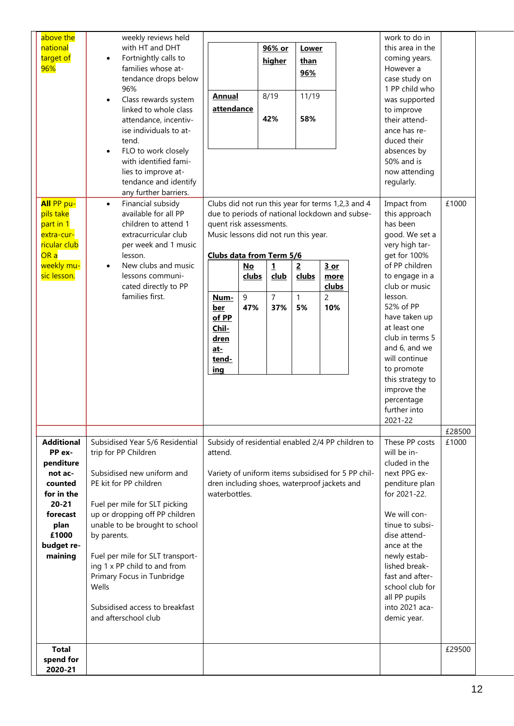| above the             | weekly reviews held                             |                                                               |       |                |                |               |  | work to do in                  |        |  |
|-----------------------|-------------------------------------------------|---------------------------------------------------------------|-------|----------------|----------------|---------------|--|--------------------------------|--------|--|
| national              | with HT and DHT                                 |                                                               |       | 96% or         | Lower          |               |  | this area in the               |        |  |
| target of             | Fortnightly calls to<br>$\bullet$               |                                                               |       | higher         | than           |               |  | coming years.                  |        |  |
| 96%                   | families whose at-                              |                                                               |       |                | 96%            |               |  | However a                      |        |  |
|                       | tendance drops below                            |                                                               |       |                |                |               |  | case study on                  |        |  |
|                       | 96%                                             | <b>Annual</b>                                                 |       | 8/19           | 11/19          |               |  | 1 PP child who                 |        |  |
|                       | Class rewards system<br>$\bullet$               |                                                               |       |                |                |               |  | was supported                  |        |  |
|                       | linked to whole class                           | attendance                                                    |       | 42%            | 58%            |               |  | to improve                     |        |  |
|                       | attendance, incentiv-<br>ise individuals to at- |                                                               |       |                |                |               |  | their attend-                  |        |  |
|                       | tend.                                           |                                                               |       |                |                |               |  | ance has re-<br>duced their    |        |  |
|                       | FLO to work closely<br>$\bullet$                |                                                               |       |                |                |               |  | absences by                    |        |  |
|                       | with identified fami-                           |                                                               |       |                |                |               |  | 50% and is                     |        |  |
|                       | lies to improve at-                             |                                                               |       |                |                | now attending |  |                                |        |  |
|                       | tendance and identify                           |                                                               |       |                |                |               |  | regularly.                     |        |  |
|                       | any further barriers.                           |                                                               |       |                |                |               |  |                                |        |  |
| All PP pu-            | Financial subsidy<br>$\bullet$                  | Clubs did not run this year for terms 1,2,3 and 4             |       |                |                |               |  | Impact from                    | £1000  |  |
| pils take             | available for all PP                            | due to periods of national lockdown and subse-                |       |                |                |               |  | this approach                  |        |  |
| part in 1             | children to attend 1                            | quent risk assessments.                                       |       |                |                |               |  | has been                       |        |  |
| extra-cur-            | extracurricular club                            | Music lessons did not run this year.                          |       |                |                |               |  | good. We set a                 |        |  |
| ricular club          | per week and 1 music                            |                                                               |       |                |                |               |  | very high tar-                 |        |  |
| OR a                  | lesson.                                         | Clubs data from Term 5/6                                      |       |                |                |               |  | get for 100%                   |        |  |
| weekly mu-            | New clubs and music<br>$\bullet$                |                                                               | $No$  | $\mathbf{1}$   | $\overline{2}$ | $3$ or        |  | of PP children                 |        |  |
| sic lesson.           | lessons communi-                                |                                                               | clubs | <u>club</u>    | clubs          | more          |  | to engage in a                 |        |  |
|                       | cated directly to PP                            |                                                               |       |                |                | clubs         |  | club or music                  |        |  |
|                       | families first.                                 | Num-                                                          | 9     | $\overline{7}$ | $\mathbf{1}$   | 2             |  | lesson.<br>52% of PP           |        |  |
|                       |                                                 | <u>ber</u><br>of PP                                           | 47%   | 37%            | 5%             | 10%           |  | have taken up                  |        |  |
|                       |                                                 | Chil-                                                         |       |                |                |               |  | at least one                   |        |  |
|                       |                                                 | <u>dren</u>                                                   |       |                |                |               |  | club in terms 5                |        |  |
|                       |                                                 | <u>at-</u>                                                    |       |                |                |               |  | and 6, and we                  |        |  |
|                       |                                                 | tend-                                                         |       |                |                |               |  | will continue                  |        |  |
|                       |                                                 | <u>ing</u>                                                    |       |                |                |               |  | to promote                     |        |  |
|                       |                                                 |                                                               |       |                |                |               |  | this strategy to               |        |  |
|                       |                                                 |                                                               |       |                |                |               |  | improve the                    |        |  |
|                       |                                                 |                                                               |       |                |                |               |  | percentage                     |        |  |
|                       |                                                 |                                                               |       |                |                |               |  | further into                   |        |  |
|                       |                                                 |                                                               |       |                |                |               |  | 2021-22                        |        |  |
|                       |                                                 |                                                               |       |                |                |               |  |                                | £28500 |  |
| <b>Additional</b>     | Subsidised Year 5/6 Residential                 | Subsidy of residential enabled 2/4 PP children to             |       |                |                |               |  | These PP costs                 | £1000  |  |
| PP ex-                | trip for PP Children                            | attend.                                                       |       |                |                |               |  | will be in-                    |        |  |
| penditure             |                                                 |                                                               |       |                |                |               |  | cluded in the                  |        |  |
| not ac-               | Subsidised new uniform and                      | Variety of uniform items subsidised for 5 PP chil-            |       |                |                |               |  | next PPG ex-                   |        |  |
| counted<br>for in the | PE kit for PP children                          | dren including shoes, waterproof jackets and<br>waterbottles. |       |                |                |               |  | penditure plan<br>for 2021-22. |        |  |
| $20 - 21$             | Fuel per mile for SLT picking                   |                                                               |       |                |                |               |  |                                |        |  |
| forecast              | up or dropping off PP children                  |                                                               |       |                |                |               |  | We will con-                   |        |  |
| plan                  | unable to be brought to school                  |                                                               |       |                |                |               |  | tinue to subsi-                |        |  |
| £1000                 | by parents.                                     |                                                               |       |                |                |               |  | dise attend-                   |        |  |
| budget re-            |                                                 |                                                               |       |                |                |               |  | ance at the                    |        |  |
| maining               | Fuel per mile for SLT transport-                |                                                               |       |                |                |               |  | newly estab-                   |        |  |
|                       | ing 1 x PP child to and from                    |                                                               |       |                |                |               |  | lished break-                  |        |  |
|                       | Primary Focus in Tunbridge                      |                                                               |       |                |                |               |  | fast and after-                |        |  |
|                       | Wells                                           |                                                               |       |                |                |               |  | school club for                |        |  |
|                       | Subsidised access to breakfast                  |                                                               |       |                |                |               |  | all PP pupils                  |        |  |
|                       | and afterschool club                            |                                                               |       |                |                |               |  | into 2021 aca-<br>demic year.  |        |  |
|                       |                                                 |                                                               |       |                |                |               |  |                                |        |  |
|                       |                                                 |                                                               |       |                |                |               |  |                                |        |  |
| <b>Total</b>          |                                                 |                                                               |       |                |                |               |  |                                | £29500 |  |
| spend for             |                                                 |                                                               |       |                |                |               |  |                                |        |  |
| 2020-21               |                                                 |                                                               |       |                |                |               |  |                                |        |  |